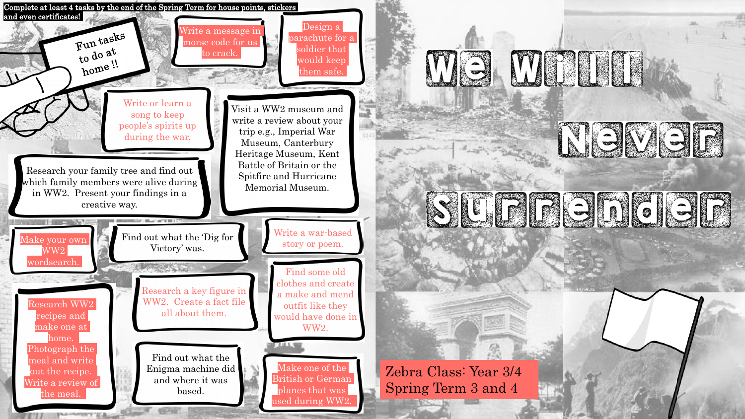